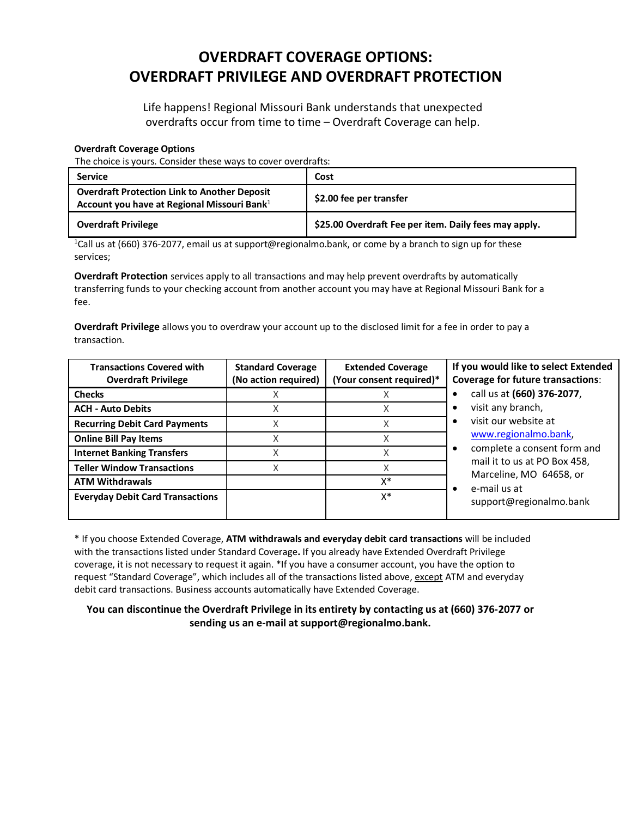## **OVERDRAFT COVERAGE OPTIONS: OVERDRAFT PRIVILEGE AND OVERDRAFT PROTECTION**

Life happens! Regional Missouri Bank understands that unexpected overdrafts occur from time to time – Overdraft Coverage can help.

## **Overdraft Coverage Options**

The choice is yours. Consider these ways to cover overdrafts:

| <b>Service</b>                                                                                                 | Cost                                                  |
|----------------------------------------------------------------------------------------------------------------|-------------------------------------------------------|
| <b>Overdraft Protection Link to Another Deposit</b><br>Account you have at Regional Missouri Bank <sup>1</sup> | \$2.00 fee per transfer                               |
| <b>Overdraft Privilege</b>                                                                                     | \$25.00 Overdraft Fee per item. Daily fees may apply. |

<sup>1</sup>Call us at (660) 376-2077, email us at support@regionalmo.bank, or come by a branch to sign up for these services;

**Overdraft Protection** services apply to all transactions and may help prevent overdrafts by automatically transferring funds to your checking account from another account you may have at Regional Missouri Bank for a fee.

**Overdraft Privilege** allows you to overdraw your account up to the disclosed limit for a fee in order to pay a transaction.

| <b>Transactions Covered with</b><br><b>Overdraft Privilege</b> | <b>Standard Coverage</b><br>(No action required) | <b>Extended Coverage</b><br>(Your consent required)* | If you would like to select Extended<br><b>Coverage for future transactions:</b>                                                                                                                                         |
|----------------------------------------------------------------|--------------------------------------------------|------------------------------------------------------|--------------------------------------------------------------------------------------------------------------------------------------------------------------------------------------------------------------------------|
| <b>Checks</b>                                                  |                                                  |                                                      | call us at (660) 376-2077,                                                                                                                                                                                               |
| <b>ACH - Auto Debits</b>                                       | X                                                | Χ                                                    | visit any branch,<br>$\bullet$<br>visit our website at<br>www.regionalmo.bank,<br>complete a consent form and<br>٠<br>mail it to us at PO Box 458,<br>Marceline, MO 64658, or<br>e-mail us at<br>support@regionalmo.bank |
| <b>Recurring Debit Card Payments</b>                           | Χ                                                |                                                      |                                                                                                                                                                                                                          |
| <b>Online Bill Pay Items</b>                                   | Χ                                                | Χ                                                    |                                                                                                                                                                                                                          |
| <b>Internet Banking Transfers</b>                              |                                                  |                                                      |                                                                                                                                                                                                                          |
| <b>Teller Window Transactions</b>                              |                                                  |                                                      |                                                                                                                                                                                                                          |
| <b>ATM Withdrawals</b>                                         |                                                  | X*                                                   |                                                                                                                                                                                                                          |
| <b>Everyday Debit Card Transactions</b>                        |                                                  | x*                                                   |                                                                                                                                                                                                                          |

\* If you choose Extended Coverage, **ATM withdrawals and everyday debit card transactions** will be included with the transactions listed under Standard Coverage**.** If you already have Extended Overdraft Privilege coverage, it is not necessary to request it again. \*If you have a consumer account, you have the option to request "Standard Coverage", which includes all of the transactions listed above, except ATM and everyday debit card transactions. Business accounts automatically have Extended Coverage.

**You can discontinue the Overdraft Privilege in its entirety by contacting us at (660) 376-2077 or sending us an e-mail at support@regionalmo.bank.**